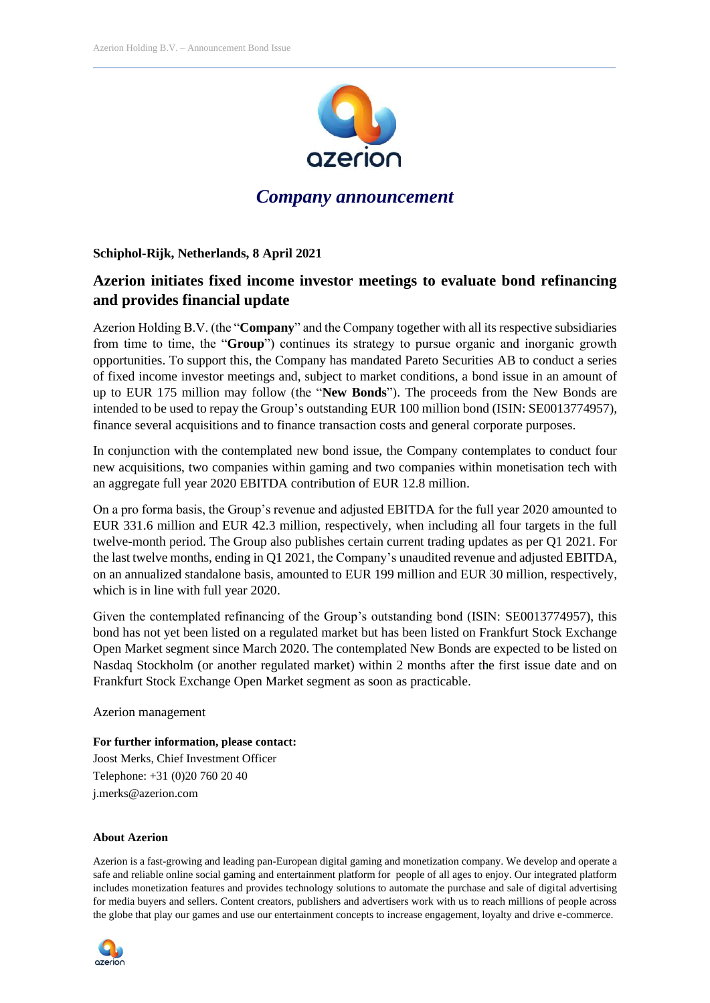

## *Company announcement*

**Schiphol-Rijk, Netherlands, 8 April 2021**

## **Azerion initiates fixed income investor meetings to evaluate bond refinancing and provides financial update**

Azerion Holding B.V. (the "**Company**" and the Company together with all its respective subsidiaries from time to time, the "**Group**") continues its strategy to pursue organic and inorganic growth opportunities. To support this, the Company has mandated Pareto Securities AB to conduct a series of fixed income investor meetings and, subject to market conditions, a bond issue in an amount of up to EUR 175 million may follow (the "**New Bonds**"). The proceeds from the New Bonds are intended to be used to repay the Group's outstanding EUR 100 million bond (ISIN: SE0013774957), finance several acquisitions and to finance transaction costs and general corporate purposes.

In conjunction with the contemplated new bond issue, the Company contemplates to conduct four new acquisitions, two companies within gaming and two companies within monetisation tech with an aggregate full year 2020 EBITDA contribution of EUR 12.8 million.

On a pro forma basis, the Group's revenue and adjusted EBITDA for the full year 2020 amounted to EUR 331.6 million and EUR 42.3 million, respectively, when including all four targets in the full twelve-month period. The Group also publishes certain current trading updates as per Q1 2021. For the last twelve months, ending in Q1 2021, the Company's unaudited revenue and adjusted EBITDA, on an annualized standalone basis, amounted to EUR 199 million and EUR 30 million, respectively, which is in line with full year 2020.

Given the contemplated refinancing of the Group's outstanding bond (ISIN: SE0013774957), this bond has not yet been listed on a regulated market but has been listed on Frankfurt Stock Exchange Open Market segment since March 2020. The contemplated New Bonds are expected to be listed on Nasdaq Stockholm (or another regulated market) within 2 months after the first issue date and on Frankfurt Stock Exchange Open Market segment as soon as practicable.

Azerion management

**For further information, please contact:** Joost Merks, Chief Investment Officer Telephone: +31 (0)20 760 20 40 j.merks@azerion.com

## **About Azerion**

Azerion is a fast-growing and leading pan-European digital gaming and monetization company. We develop and operate a safe and reliable online social gaming and entertainment platform for people of all ages to enjoy. Our integrated platform includes monetization features and provides technology solutions to automate the purchase and sale of digital advertising for media buyers and sellers. Content creators, publishers and advertisers work with us to reach millions of people across the globe that play our games and use our entertainment concepts to increase engagement, loyalty and drive e-commerce.